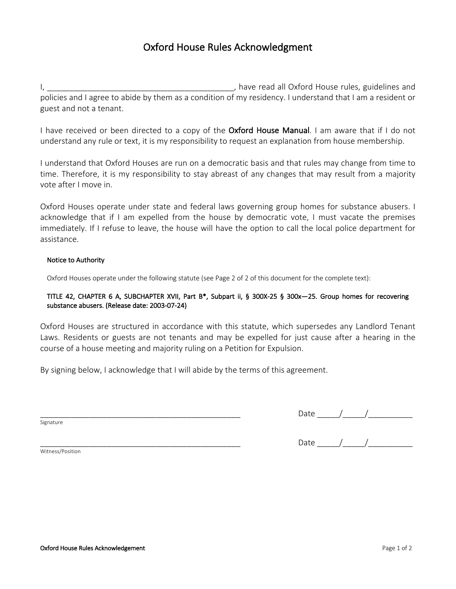# Oxford House Rules Acknowledgment

I, \_\_\_\_\_\_\_\_\_\_\_\_\_\_\_\_\_\_\_\_\_\_\_\_\_\_\_\_\_\_\_\_\_\_\_\_\_\_\_\_\_\_, have read all Oxford House rules, guidelines and policies and I agree to abide by them as a condition of my residency. I understand that I am a resident or guest and not a tenant.

I have received or been directed to a copy of the Oxford House Manual. I am aware that if I do not understand any rule or text, it is my responsibility to request an explanation from house membership.

I understand that Oxford Houses are run on a democratic basis and that rules may change from time to time. Therefore, it is my responsibility to stay abreast of any changes that may result from a majority vote after I move in.

Oxford Houses operate under state and federal laws governing group homes for substance abusers. I acknowledge that if I am expelled from the house by democratic vote, I must vacate the premises immediately. If I refuse to leave, the house will have the option to call the local police department for assistance.

### Notice to Authority

Oxford Houses operate under the following statute (see Page 2 of 2 of this document for the complete text):

### TITLE 42, CHAPTER 6 A, SUBCHAPTER XVII, Part B\*, Subpart ii, § 300X-25 § 300x—25. Group homes for recovering substance abusers. (Release date: 2003-07-24)

Oxford Houses are structured in accordance with this statute, which supersedes any Landlord Tenant Laws. Residents or guests are not tenants and may be expelled for just cause after a hearing in the course of a house meeting and majority ruling on a Petition for Expulsion.

By signing below, I acknowledge that I will abide by the terms of this agreement.

Signature

# \_\_\_\_\_\_\_\_\_\_\_\_\_\_\_\_\_\_\_\_\_\_\_\_\_\_\_\_\_\_\_\_\_\_\_\_\_\_\_\_\_\_\_\_\_ Date \_\_\_\_\_/\_\_\_\_\_/\_\_\_\_\_\_\_\_\_\_

\_\_\_\_\_\_\_\_\_\_\_\_\_\_\_\_\_\_\_\_\_\_\_\_\_\_\_\_\_\_\_\_\_\_\_\_\_\_\_\_\_\_\_\_\_ Date \_\_\_\_\_/\_\_\_\_\_/\_\_\_\_\_\_\_\_\_\_

Witness/Position